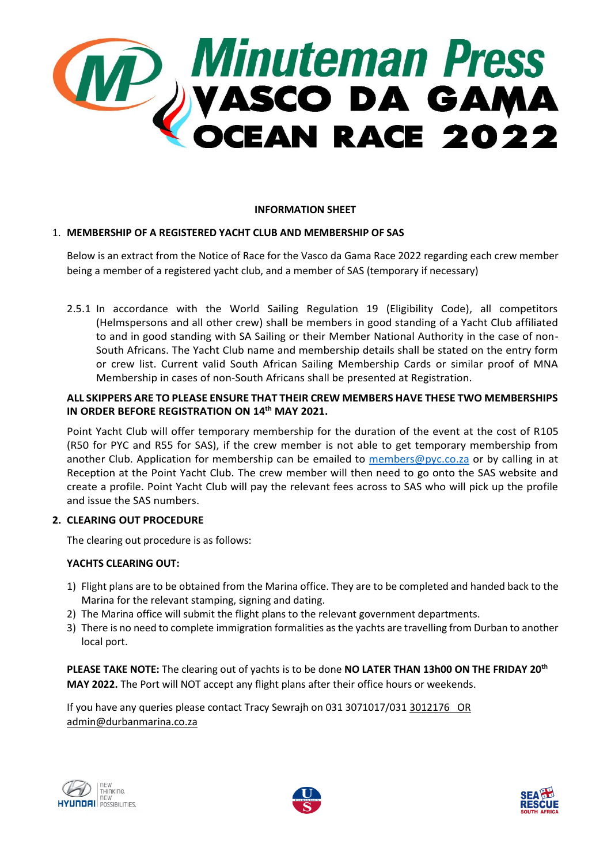

### **INFORMATION SHEET**

## 1. **MEMBERSHIP OF A REGISTERED YACHT CLUB AND MEMBERSHIP OF SAS**

Below is an extract from the Notice of Race for the Vasco da Gama Race 2022 regarding each crew member being a member of a registered yacht club, and a member of SAS (temporary if necessary)

2.5.1 In accordance with the World Sailing Regulation 19 (Eligibility Code), all competitors (Helmspersons and all other crew) shall be members in good standing of a Yacht Club affiliated to and in good standing with SA Sailing or their Member National Authority in the case of non-South Africans. The Yacht Club name and membership details shall be stated on the entry form or crew list. Current valid South African Sailing Membership Cards or similar proof of MNA Membership in cases of non-South Africans shall be presented at Registration.

### **ALL SKIPPERS ARE TO PLEASE ENSURE THAT THEIR CREW MEMBERS HAVE THESE TWO MEMBERSHIPS IN ORDER BEFORE REGISTRATION ON 14th MAY 2021.**

Point Yacht Club will offer temporary membership for the duration of the event at the cost of R105 (R50 for PYC and R55 for SAS), if the crew member is not able to get temporary membership from another Club. Application for membership can be emailed to [members@pyc.co.za](mailto:members@pyc.co.za) or by calling in at Reception at the Point Yacht Club. The crew member will then need to go onto the SAS website and create a profile. Point Yacht Club will pay the relevant fees across to SAS who will pick up the profile and issue the SAS numbers.

### **2. CLEARING OUT PROCEDURE**

The clearing out procedure is as follows:

## **YACHTS CLEARING OUT:**

- 1) Flight plans are to be obtained from the Marina office. They are to be completed and handed back to the Marina for the relevant stamping, signing and dating.
- 2) The Marina office will submit the flight plans to the relevant government departments.
- 3) There is no need to complete immigration formalities as the yachts are travelling from Durban to another local port.

**PLEASE TAKE NOTE:** The clearing out of yachts is to be done **NO LATER THAN 13h00 ON THE FRIDAY 20th MAY 2022.** The Port will NOT accept any flight plans after their office hours or weekends.

If you have any queries please contact Tracy Sewrajh on 031 3071017/031 [3012176 OR](mailto:3012176%20%20%20OR%20admin@durbanmarina.co.za)  [admin@durbanmarina.co.za](mailto:3012176%20%20%20OR%20admin@durbanmarina.co.za)





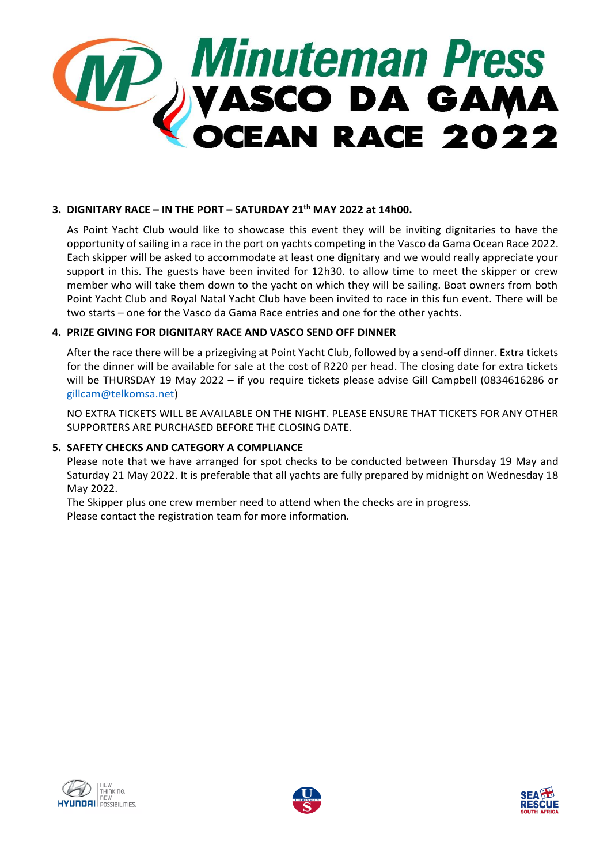

# **3. DIGNITARY RACE – IN THE PORT – SATURDAY 21th MAY 2022 at 14h00.**

As Point Yacht Club would like to showcase this event they will be inviting dignitaries to have the opportunity of sailing in a race in the port on yachts competing in the Vasco da Gama Ocean Race 2022. Each skipper will be asked to accommodate at least one dignitary and we would really appreciate your support in this. The guests have been invited for 12h30. to allow time to meet the skipper or crew member who will take them down to the yacht on which they will be sailing. Boat owners from both Point Yacht Club and Royal Natal Yacht Club have been invited to race in this fun event. There will be two starts – one for the Vasco da Gama Race entries and one for the other yachts.

### **4. PRIZE GIVING FOR DIGNITARY RACE AND VASCO SEND OFF DINNER**

After the race there will be a prizegiving at Point Yacht Club, followed by a send-off dinner. Extra tickets for the dinner will be available for sale at the cost of R220 per head. The closing date for extra tickets will be THURSDAY 19 May 2022 – if you require tickets please advise Gill Campbell (0834616286 or [gillcam@telkomsa.net\)](mailto:gillcam@telkomsa.net)

NO EXTRA TICKETS WILL BE AVAILABLE ON THE NIGHT. PLEASE ENSURE THAT TICKETS FOR ANY OTHER SUPPORTERS ARE PURCHASED BEFORE THE CLOSING DATE.

### **5. SAFETY CHECKS AND CATEGORY A COMPLIANCE**

Please note that we have arranged for spot checks to be conducted between Thursday 19 May and Saturday 21 May 2022. It is preferable that all yachts are fully prepared by midnight on Wednesday 18 May 2022.

The Skipper plus one crew member need to attend when the checks are in progress. Please contact the registration team for more information.